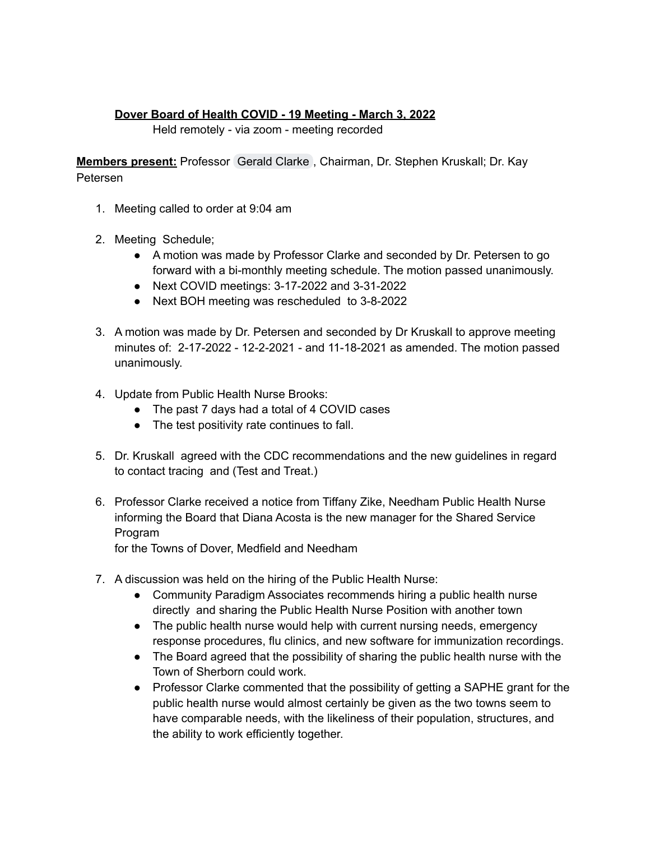## **Dover Board of Health COVID - 19 Meeting - March 3, 2022**

Held remotely - via zoom - meeting recorded

**Members present:** Professor [Gerald](mailto:gclarke@doverma.gov) Clarke , Chairman, Dr. Stephen Kruskall; Dr. Kay Petersen

- 1. Meeting called to order at 9:04 am
- 2. Meeting Schedule;
	- A motion was made by Professor Clarke and seconded by Dr. Petersen to go forward with a bi-monthly meeting schedule. The motion passed unanimously.
	- Next COVID meetings: 3-17-2022 and 3-31-2022
	- Next BOH meeting was rescheduled to 3-8-2022
- 3. A motion was made by Dr. Petersen and seconded by Dr Kruskall to approve meeting minutes of: 2-17-2022 - 12-2-2021 - and 11-18-2021 as amended. The motion passed unanimously.
- 4. Update from Public Health Nurse Brooks:
	- The past 7 days had a total of 4 COVID cases
	- The test positivity rate continues to fall.
- 5. Dr. Kruskall agreed with the CDC recommendations and the new guidelines in regard to contact tracing and (Test and Treat.)
- 6. Professor Clarke received a notice from Tiffany Zike, Needham Public Health Nurse informing the Board that Diana Acosta is the new manager for the Shared Service Program

for the Towns of Dover, Medfield and Needham

- 7. A discussion was held on the hiring of the Public Health Nurse:
	- Community Paradigm Associates recommends hiring a public health nurse directly and sharing the Public Health Nurse Position with another town
	- The public health nurse would help with current nursing needs, emergency response procedures, flu clinics, and new software for immunization recordings.
	- The Board agreed that the possibility of sharing the public health nurse with the Town of Sherborn could work.
	- Professor Clarke commented that the possibility of getting a SAPHE grant for the public health nurse would almost certainly be given as the two towns seem to have comparable needs, with the likeliness of their population, structures, and the ability to work efficiently together.